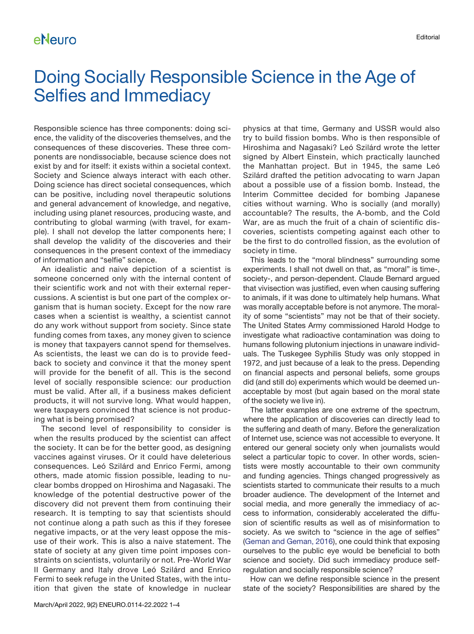# Doing Socially Responsible Science in the Age of Selfies and Immediacy

Responsible science has three components: doing science, the validity of the discoveries themselves, and the consequences of these discoveries. These three components are nondissociable, because science does not exist by and for itself: it exists within a societal context. Society and Science always interact with each other. Doing science has direct societal consequences, which can be positive, including novel therapeutic solutions and general advancement of knowledge, and negative, including using planet resources, producing waste, and contributing to global warming (with travel, for example). I shall not develop the latter components here; I shall develop the validity of the discoveries and their consequences in the present context of the immediacy of information and "selfie" science.

An idealistic and naive depiction of a scientist is someone concerned only with the internal content of their scientific work and not with their external repercussions. A scientist is but one part of the complex organism that is human society. Except for the now rare cases when a scientist is wealthy, a scientist cannot do any work without support from society. Since state funding comes from taxes, any money given to science is money that taxpayers cannot spend for themselves. As scientists, the least we can do is to provide feedback to society and convince it that the money spent will provide for the benefit of all. This is the second level of socially responsible science: our production must be valid. After all, if a business makes deficient products, it will not survive long. What would happen, were taxpayers convinced that science is not producing what is being promised?

The second level of responsibility to consider is when the results produced by the scientist can affect the society. It can be for the better good, as designing vaccines against viruses. Or it could have deleterious consequences. Leó Szilárd and Enrico Fermi, among others, made atomic fission possible, leading to nuclear bombs dropped on Hiroshima and Nagasaki. The knowledge of the potential destructive power of the discovery did not prevent them from continuing their research. It is tempting to say that scientists should not continue along a path such as this if they foresee negative impacts, or at the very least oppose the misuse of their work. This is also a naive statement. The state of society at any given time point imposes constraints on scientists, voluntarily or not. Pre-World War II Germany and Italy drove Leó Szilárd and Enrico Fermi to seek refuge in the United States, with the intuition that given the state of knowledge in nuclear physics at that time, Germany and USSR would also try to build fission bombs. Who is then responsible of Hiroshima and Nagasaki? Leó Szilárd wrote the letter signed by Albert Einstein, which practically launched the Manhattan project. But in 1945, the same Leó Szilárd drafted the petition advocating to warn Japan about a possible use of a fission bomb. Instead, the Interim Committee decided for bombing Japanese cities without warning. Who is socially (and morally) accountable? The results, the A-bomb, and the Cold War, are as much the fruit of a chain of scientific discoveries, scientists competing against each other to be the first to do controlled fission, as the evolution of society in time.

This leads to the "moral blindness" surrounding some experiments. I shall not dwell on that, as "moral" is time-, society-, and person-dependent. Claude Bernard argued that vivisection was justified, even when causing suffering to animals, if it was done to ultimately help humans. What was morally acceptable before is not anymore. The morality of some "scientists" may not be that of their society. The United States Army commissioned Harold Hodge to investigate what radioactive contamination was doing to humans following plutonium injections in unaware individuals. The Tuskegee Syphilis Study was only stopped in 1972, and just because of a leak to the press. Depending on financial aspects and personal beliefs, some groups did (and still do) experiments which would be deemed unacceptable by most (but again based on the moral state of the society we live in).

The latter examples are one extreme of the spectrum, where the application of discoveries can directly lead to the suffering and death of many. Before the generalization of Internet use, science was not accessible to everyone. It entered our general society only when journalists would select a particular topic to cover. In other words, scientists were mostly accountable to their own community and funding agencies. Things changed progressively as scientists started to communicate their results to a much broader audience. The development of the Internet and social media, and more generally the immediacy of access to information, considerably accelerated the diffusion of scientific results as well as of misinformation to society. As we switch to "science in the age of selfies" [\(Geman and Geman, 2016](#page-3-0)), one could think that exposing ourselves to the public eye would be beneficial to both science and society. Did such immediacy produce selfregulation and socially responsible science?

How can we define responsible science in the present state of the society? Responsibilities are shared by the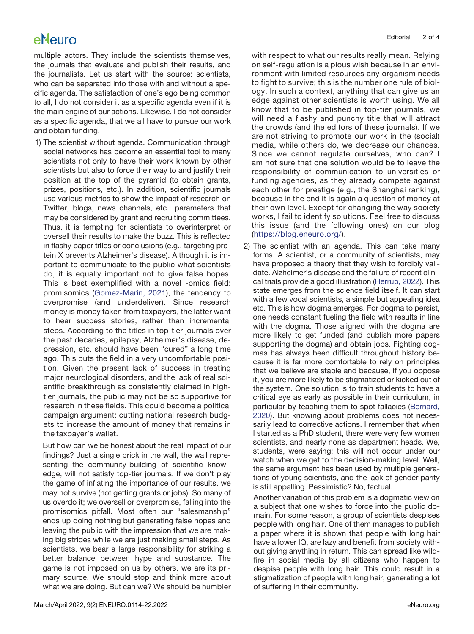### eNeuro

multiple actors. They include the scientists themselves, the journals that evaluate and publish their results, and the journalists. Let us start with the source: scientists, who can be separated into those with and without a specific agenda. The satisfaction of one's ego being common to all, I do not consider it as a specific agenda even if it is the main engine of our actions. Likewise, I do not consider as a specific agenda, that we all have to pursue our work and obtain funding.

1) The scientist without agenda. Communication through social networks has become an essential tool to many scientists not only to have their work known by other scientists but also to force their way to and justify their position at the top of the pyramid (to obtain grants, prizes, positions, etc.). In addition, scientific journals use various metrics to show the impact of research on Twitter, blogs, news channels, etc.; parameters that may be considered by grant and recruiting committees. Thus, it is tempting for scientists to overinterpret or oversell their results to make the buzz. This is reflected in flashy paper titles or conclusions (e.g., targeting protein X prevents Alzheimer's disease). Although it is important to communicate to the public what scientists do, it is equally important not to give false hopes. This is best exemplified with a novel -omics field: promisomics ([Gomez-Marin, 2021](#page-3-1)), the tendency to overpromise (and underdeliver). Since research money is money taken from taxpayers, the latter want to hear success stories, rather than incremental steps. According to the titles in top-tier journals over the past decades, epilepsy, Alzheimer's disease, depression, etc. should have been "cured" a long time ago. This puts the field in a very uncomfortable position. Given the present lack of success in treating major neurological disorders, and the lack of real scientific breakthrough as consistently claimed in hightier journals, the public may not be so supportive for research in these fields. This could become a political campaign argument: cutting national research budgets to increase the amount of money that remains in the taxpayer's wallet.

But how can we be honest about the real impact of our findings? Just a single brick in the wall, the wall representing the community-building of scientific knowledge, will not satisfy top-tier journals. If we don't play the game of inflating the importance of our results, we may not survive (not getting grants or jobs). So many of us overdo it; we oversell or overpromise, falling into the promisomics pitfall. Most often our "salesmanship" ends up doing nothing but generating false hopes and leaving the public with the impression that we are making big strides while we are just making small steps. As scientists, we bear a large responsibility for striking a better balance between hype and substance. The game is not imposed on us by others, we are its primary source. We should stop and think more about what we are doing. But can we? We should be humbler with respect to what our results really mean. Relying on self-regulation is a pious wish because in an environment with limited resources any organism needs to fight to survive; this is the number one rule of biology. In such a context, anything that can give us an edge against other scientists is worth using. We all know that to be published in top-tier journals, we will need a flashy and punchy title that will attract the crowds (and the editors of these journals). If we are not striving to promote our work in the (social) media, while others do, we decrease our chances. Since we cannot regulate ourselves, who can? I am not sure that one solution would be to leave the responsibility of communication to universities or funding agencies, as they already compete against each other for prestige (e.g., the Shanghai ranking), because in the end it is again a question of money at their own level. Except for changing the way society works, I fail to identify solutions. Feel free to discuss this issue (and the following ones) on our blog ([https://blog.eneuro.org/\)](https://blog.eneuro.org/).

2) The scientist with an agenda. This can take many forms. A scientist, or a community of scientists, may have proposed a theory that they wish to forcibly validate. Alzheimer's disease and the failure of recent clinical trials provide a good illustration ([Herrup, 2022](#page-3-2)). This state emerges from the science field itself. It can start with a few vocal scientists, a simple but appealing idea etc. This is how dogma emerges. For dogma to persist, one needs constant fueling the field with results in line with the dogma. Those aligned with the dogma are more likely to get funded (and publish more papers supporting the dogma) and obtain jobs. Fighting dogmas has always been difficult throughout history because it is far more comfortable to rely on principles that we believe are stable and because, if you oppose it, you are more likely to be stigmatized or kicked out of the system. One solution is to train students to have a critical eye as early as possible in their curriculum, in particular by teaching them to spot fallacies [\(Bernard,](#page-3-3) [2020\)](#page-3-3). But knowing about problems does not necessarily lead to corrective actions. I remember that when I started as a PhD student, there were very few women scientists, and nearly none as department heads. We, students, were saying: this will not occur under our watch when we get to the decision-making level. Well, the same argument has been used by multiple generations of young scientists, and the lack of gender parity is still appalling. Pessimistic? No, factual.

Another variation of this problem is a dogmatic view on a subject that one wishes to force into the public domain. For some reason, a group of scientists despises people with long hair. One of them manages to publish a paper where it is shown that people with long hair have a lower IQ, are lazy and benefit from society without giving anything in return. This can spread like wildfire in social media by all citizens who happen to despise people with long hair. This could result in a stigmatization of people with long hair, generating a lot of suffering in their community.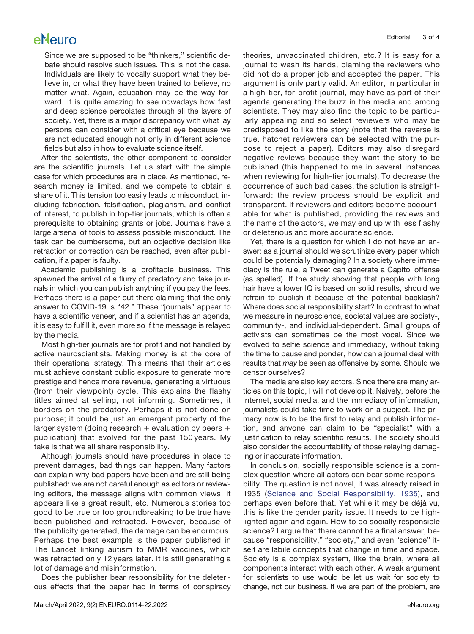#### eNeuro

Since we are supposed to be "thinkers," scientific debate should resolve such issues. This is not the case. Individuals are likely to vocally support what they believe in, or what they have been trained to believe, no matter what. Again, education may be the way forward. It is quite amazing to see nowadays how fast and deep science percolates through all the layers of society. Yet, there is a major discrepancy with what lay persons can consider with a critical eye because we are not educated enough not only in different science fields but also in how to evaluate science itself.

After the scientists, the other component to consider are the scientific journals. Let us start with the simple case for which procedures are in place. As mentioned, research money is limited, and we compete to obtain a share of it. This tension too easily leads to misconduct, including fabrication, falsification, plagiarism, and conflict of interest, to publish in top-tier journals, which is often a prerequisite to obtaining grants or jobs. Journals have a large arsenal of tools to assess possible misconduct. The task can be cumbersome, but an objective decision like retraction or correction can be reached, even after publication, if a paper is faulty.

Academic publishing is a profitable business. This spawned the arrival of a flurry of predatory and fake journals in which you can publish anything if you pay the fees. Perhaps there is a paper out there claiming that the only answer to COVID-19 is "42." These "journals" appear to have a scientific veneer, and if a scientist has an agenda, it is easy to fulfill it, even more so if the message is relayed by the media.

Most high-tier journals are for profit and not handled by active neuroscientists. Making money is at the core of their operational strategy. This means that their articles must achieve constant public exposure to generate more prestige and hence more revenue, generating a virtuous (from their viewpoint) cycle. This explains the flashy titles aimed at selling, not informing. Sometimes, it borders on the predatory. Perhaps it is not done on purpose; it could be just an emergent property of the larger system (doing research  $+$  evaluation by peers  $+$ publication) that evolved for the past 150 years. My take is that we all share responsibility.

Although journals should have procedures in place to prevent damages, bad things can happen. Many factors can explain why bad papers have been and are still being published: we are not careful enough as editors or reviewing editors, the message aligns with common views, it appears like a great result, etc. Numerous stories too good to be true or too groundbreaking to be true have been published and retracted. However, because of the publicity generated, the damage can be enormous. Perhaps the best example is the paper published in The Lancet linking autism to MMR vaccines, which was retracted only 12 years later. It is still generating a lot of damage and misinformation.

Does the publisher bear responsibility for the deleterious effects that the paper had in terms of conspiracy theories, unvaccinated children, etc.? It is easy for a journal to wash its hands, blaming the reviewers who did not do a proper job and accepted the paper. This argument is only partly valid. An editor, in particular in a high-tier, for-profit journal, may have as part of their agenda generating the buzz in the media and among scientists. They may also find the topic to be particularly appealing and so select reviewers who may be predisposed to like the story (note that the reverse is true, hatchet reviewers can be selected with the purpose to reject a paper). Editors may also disregard negative reviews because they want the story to be published (this happened to me in several instances when reviewing for high-tier journals). To decrease the occurrence of such bad cases, the solution is straightforward: the review process should be explicit and transparent. If reviewers and editors become accountable for what is published, providing the reviews and the name of the actors, we may end up with less flashy or deleterious and more accurate science.

Yet, there is a question for which I do not have an answer: as a journal should we scrutinize every paper which could be potentially damaging? In a society where immediacy is the rule, a Tweet can generate a Capitol offense (as spelled). If the study showing that people with long hair have a lower IQ is based on solid results, should we refrain to publish it because of the potential backlash? Where does social responsibility start? In contrast to what we measure in neuroscience, societal values are society-, community-, and individual-dependent. Small groups of activists can sometimes be the most vocal. Since we evolved to selfie science and immediacy, without taking the time to pause and ponder, how can a journal deal with results that *may* be seen as offensive by some. Should we censor ourselves?

The media are also key actors. Since there are many articles on this topic, I will not develop it. Naively, before the Internet, social media, and the immediacy of information, journalists could take time to work on a subject. The primacy now is to be the first to relay and publish information, and anyone can claim to be "specialist" with a justification to relay scientific results. The society should also consider the accountability of those relaying damaging or inaccurate information.

In conclusion, socially responsible science is a complex question where all actors can bear some responsibility. The question is not novel, it was already raised in 1935 ([Science and Social Responsibility, 1935\)](#page-3-4), and perhaps even before that. Yet while it may be déjà vu, this is like the gender parity issue. It needs to be highlighted again and again. How to do socially responsible science? I argue that there cannot be a final answer, because "responsibility," "society," and even "science" itself are labile concepts that change in time and space. Society is a complex system, like the brain, where all components interact with each other. A weak argument for scientists to use would be let us wait for society to change, not our business. If we are part of the problem, are